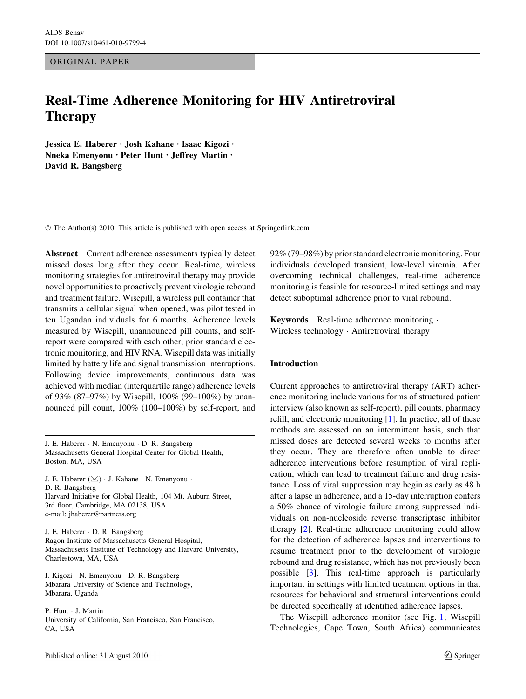ORIGINAL PAPER

# Real-Time Adherence Monitoring for HIV Antiretroviral Therapy

Jessica E. Haberer • Josh Kahane • Isaac Kigozi • Nneka Emenyonu • Peter Hunt • Jeffrey Martin • David R. Bangsberg

© The Author(s) 2010. This article is published with open access at Springerlink.com

Abstract Current adherence assessments typically detect missed doses long after they occur. Real-time, wireless monitoring strategies for antiretroviral therapy may provide novel opportunities to proactively prevent virologic rebound and treatment failure. Wisepill, a wireless pill container that transmits a cellular signal when opened, was pilot tested in ten Ugandan individuals for 6 months. Adherence levels measured by Wisepill, unannounced pill counts, and selfreport were compared with each other, prior standard electronic monitoring, and HIV RNA. Wisepill data was initially limited by battery life and signal transmission interruptions. Following device improvements, continuous data was achieved with median (interquartile range) adherence levels of 93% (87–97%) by Wisepill, 100% (99–100%) by unannounced pill count, 100% (100–100%) by self-report, and

J. E. Haberer - N. Emenyonu - D. R. Bangsberg Massachusetts General Hospital Center for Global Health, Boston, MA, USA

J. E. Haberer (&) - J. Kahane - N. Emenyonu - D. R. Bangsberg Harvard Initiative for Global Health, 104 Mt. Auburn Street, 3rd floor, Cambridge, MA 02138, USA e-mail: jhaberer@partners.org

J. E. Haberer - D. R. Bangsberg Ragon Institute of Massachusetts General Hospital, Massachusetts Institute of Technology and Harvard University, Charlestown, MA, USA

I. Kigozi - N. Emenyonu - D. R. Bangsberg Mbarara University of Science and Technology, Mbarara, Uganda

P. Hunt - J. Martin University of California, San Francisco, San Francisco, CA, USA

92% (79–98%) by prior standard electronic monitoring. Four individuals developed transient, low-level viremia. After overcoming technical challenges, real-time adherence monitoring is feasible for resource-limited settings and may detect suboptimal adherence prior to viral rebound.

Keywords Real-time adherence monitoring - Wireless technology - Antiretroviral therapy

### Introduction

Current approaches to antiretroviral therapy (ART) adherence monitoring include various forms of structured patient interview (also known as self-report), pill counts, pharmacy refill, and electronic monitoring [\[1](#page-5-0)]. In practice, all of these methods are assessed on an intermittent basis, such that missed doses are detected several weeks to months after they occur. They are therefore often unable to direct adherence interventions before resumption of viral replication, which can lead to treatment failure and drug resistance. Loss of viral suppression may begin as early as 48 h after a lapse in adherence, and a 15-day interruption confers a 50% chance of virologic failure among suppressed individuals on non-nucleoside reverse transcriptase inhibitor therapy [[2\]](#page-5-0). Real-time adherence monitoring could allow for the detection of adherence lapses and interventions to resume treatment prior to the development of virologic rebound and drug resistance, which has not previously been possible [\[3](#page-6-0)]. This real-time approach is particularly important in settings with limited treatment options in that resources for behavioral and structural interventions could be directed specifically at identified adherence lapses.

The Wisepill adherence monitor (see Fig. [1;](#page-1-0) Wisepill Technologies, Cape Town, South Africa) communicates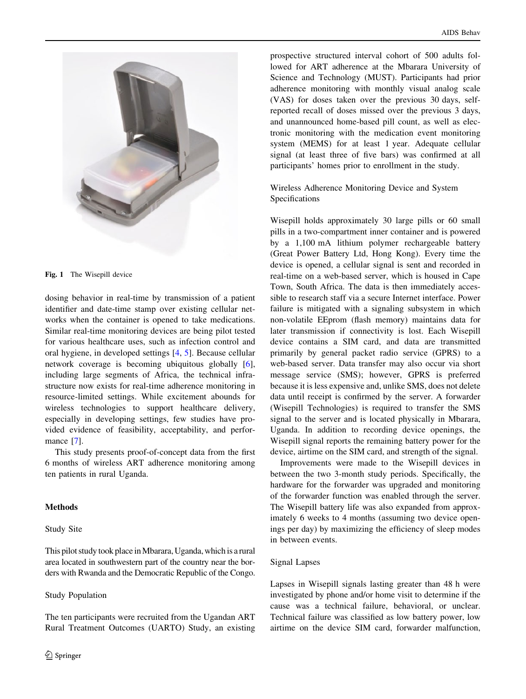<span id="page-1-0"></span>

Fig. 1 The Wisepill device

dosing behavior in real-time by transmission of a patient identifier and date-time stamp over existing cellular networks when the container is opened to take medications. Similar real-time monitoring devices are being pilot tested for various healthcare uses, such as infection control and oral hygiene, in developed settings [\[4](#page-6-0), [5\]](#page-6-0). Because cellular network coverage is becoming ubiquitous globally [\[6](#page-6-0)], including large segments of Africa, the technical infrastructure now exists for real-time adherence monitoring in resource-limited settings. While excitement abounds for wireless technologies to support healthcare delivery, especially in developing settings, few studies have provided evidence of feasibility, acceptability, and perfor-mance [[7\]](#page-6-0).

This study presents proof-of-concept data from the first 6 months of wireless ART adherence monitoring among ten patients in rural Uganda.

## Methods

# Study Site

This pilot study took place in Mbarara, Uganda, which is a rural area located in southwestern part of the country near the borders with Rwanda and the Democratic Republic of the Congo.

### Study Population

The ten participants were recruited from the Ugandan ART Rural Treatment Outcomes (UARTO) Study, an existing prospective structured interval cohort of 500 adults followed for ART adherence at the Mbarara University of Science and Technology (MUST). Participants had prior adherence monitoring with monthly visual analog scale (VAS) for doses taken over the previous 30 days, selfreported recall of doses missed over the previous 3 days, and unannounced home-based pill count, as well as electronic monitoring with the medication event monitoring system (MEMS) for at least 1 year. Adequate cellular signal (at least three of five bars) was confirmed at all participants' homes prior to enrollment in the study.

Wireless Adherence Monitoring Device and System Specifications

Wisepill holds approximately 30 large pills or 60 small pills in a two-compartment inner container and is powered by a 1,100 mA lithium polymer rechargeable battery (Great Power Battery Ltd, Hong Kong). Every time the device is opened, a cellular signal is sent and recorded in real-time on a web-based server, which is housed in Cape Town, South Africa. The data is then immediately accessible to research staff via a secure Internet interface. Power failure is mitigated with a signaling subsystem in which non-volatile EEprom (flash memory) maintains data for later transmission if connectivity is lost. Each Wisepill device contains a SIM card, and data are transmitted primarily by general packet radio service (GPRS) to a web-based server. Data transfer may also occur via short message service (SMS); however, GPRS is preferred because it is less expensive and, unlike SMS, does not delete data until receipt is confirmed by the server. A forwarder (Wisepill Technologies) is required to transfer the SMS signal to the server and is located physically in Mbarara, Uganda. In addition to recording device openings, the Wisepill signal reports the remaining battery power for the device, airtime on the SIM card, and strength of the signal.

Improvements were made to the Wisepill devices in between the two 3-month study periods. Specifically, the hardware for the forwarder was upgraded and monitoring of the forwarder function was enabled through the server. The Wisepill battery life was also expanded from approximately 6 weeks to 4 months (assuming two device openings per day) by maximizing the efficiency of sleep modes in between events.

### Signal Lapses

Lapses in Wisepill signals lasting greater than 48 h were investigated by phone and/or home visit to determine if the cause was a technical failure, behavioral, or unclear. Technical failure was classified as low battery power, low airtime on the device SIM card, forwarder malfunction,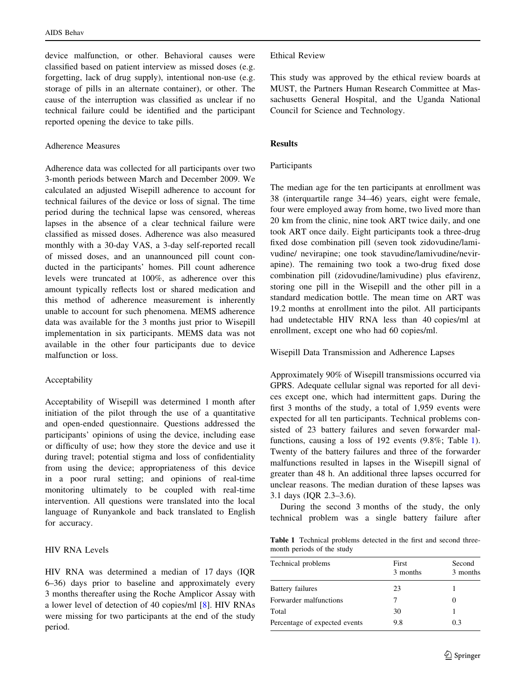device malfunction, or other. Behavioral causes were classified based on patient interview as missed doses (e.g. forgetting, lack of drug supply), intentional non-use (e.g. storage of pills in an alternate container), or other. The cause of the interruption was classified as unclear if no technical failure could be identified and the participant reported opening the device to take pills.

# Adherence Measures

Adherence data was collected for all participants over two 3-month periods between March and December 2009. We calculated an adjusted Wisepill adherence to account for technical failures of the device or loss of signal. The time period during the technical lapse was censored, whereas lapses in the absence of a clear technical failure were classified as missed doses. Adherence was also measured monthly with a 30-day VAS, a 3-day self-reported recall of missed doses, and an unannounced pill count conducted in the participants' homes. Pill count adherence levels were truncated at 100%, as adherence over this amount typically reflects lost or shared medication and this method of adherence measurement is inherently unable to account for such phenomena. MEMS adherence data was available for the 3 months just prior to Wisepill implementation in six participants. MEMS data was not available in the other four participants due to device malfunction or loss.

# Acceptability

Acceptability of Wisepill was determined 1 month after initiation of the pilot through the use of a quantitative and open-ended questionnaire. Questions addressed the participants' opinions of using the device, including ease or difficulty of use; how they store the device and use it during travel; potential stigma and loss of confidentiality from using the device; appropriateness of this device in a poor rural setting; and opinions of real-time monitoring ultimately to be coupled with real-time intervention. All questions were translated into the local language of Runyankole and back translated to English for accuracy.

## HIV RNA Levels

HIV RNA was determined a median of 17 days (IQR 6–36) days prior to baseline and approximately every 3 months thereafter using the Roche Amplicor Assay with a lower level of detection of 40 copies/ml [\[8](#page-6-0)]. HIV RNAs were missing for two participants at the end of the study period.

## Ethical Review

This study was approved by the ethical review boards at MUST, the Partners Human Research Committee at Massachusetts General Hospital, and the Uganda National Council for Science and Technology.

# Results

## Participants

The median age for the ten participants at enrollment was 38 (interquartile range 34–46) years, eight were female, four were employed away from home, two lived more than 20 km from the clinic, nine took ART twice daily, and one took ART once daily. Eight participants took a three-drug fixed dose combination pill (seven took zidovudine/lamivudine/ nevirapine; one took stavudine/lamivudine/nevirapine). The remaining two took a two-drug fixed dose combination pill (zidovudine/lamivudine) plus efavirenz, storing one pill in the Wisepill and the other pill in a standard medication bottle. The mean time on ART was 19.2 months at enrollment into the pilot. All participants had undetectable HIV RNA less than 40 copies/ml at enrollment, except one who had 60 copies/ml.

Wisepill Data Transmission and Adherence Lapses

Approximately 90% of Wisepill transmissions occurred via GPRS. Adequate cellular signal was reported for all devices except one, which had intermittent gaps. During the first 3 months of the study, a total of 1,959 events were expected for all ten participants. Technical problems consisted of 23 battery failures and seven forwarder malfunctions, causing a loss of 192 events (9.8%; Table 1). Twenty of the battery failures and three of the forwarder malfunctions resulted in lapses in the Wisepill signal of greater than 48 h. An additional three lapses occurred for unclear reasons. The median duration of these lapses was 3.1 days (IQR 2.3–3.6).

During the second 3 months of the study, the only technical problem was a single battery failure after

Table 1 Technical problems detected in the first and second threemonth periods of the study

| First<br>3 months | Second<br>3 months |  |
|-------------------|--------------------|--|
| 23                |                    |  |
|                   | $\mathbf{0}$       |  |
| 30                |                    |  |
| 9.8               | 0.3                |  |
|                   |                    |  |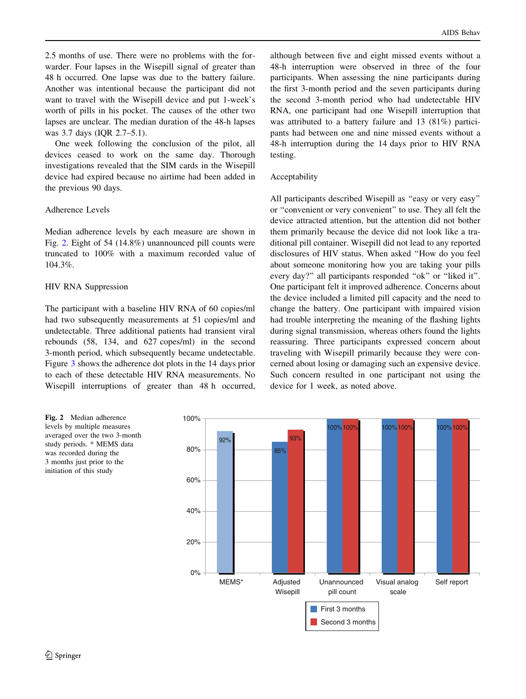2.5 months of use. There were no problems with the forwarder. Four lapses in the Wisepill signal of greater than 48 h occurred. One lapse was due to the battery failure. Another was intentional because the participant did not want to travel with the Wisepill device and put 1-week's worth of pills in his pocket. The causes of the other two lapses are unclear. The median duration of the 48-h lapses was 3.7 days (IQR 2.7–5.1).

One week following the conclusion of the pilot, all devices ceased to work on the same day. Thorough investigations revealed that the SIM cards in the Wisepill device had expired because no airtime had been added in the previous 90 days.

# Adherence Levels

Median adherence levels by each measure are shown in Fig. 2. Eight of 54 (14.8%) unannounced pill counts were truncated to 100% with a maximum recorded value of 104.3%.

# HIV RNA Suppression

The participant with a baseline HIV RNA of 60 copies/ml had two subsequently measurements at 51 copies/ml and undetectable. Three additional patients had transient viral rebounds (58, 134, and 627 copes/ml) in the second 3-month period, which subsequently became undetectable. Figure [3](#page-4-0) shows the adherence dot plots in the 14 days prior to each of these detectable HIV RNA measurements. No Wisepill interruptions of greater than 48 h occurred,

although between five and eight missed events without a 48-h interruption were observed in three of the four participants. When assessing the nine participants during the first 3-month period and the seven participants during the second 3-month period who had undetectable HIV RNA, one participant had one Wisepill interruption that was attributed to a battery failure and 13 (81%) participants had between one and nine missed events without a 48-h interruption during the 14 days prior to HIV RNA testing.

## Acceptability

All participants described Wisepill as "easy or very easy" or ''convenient or very convenient'' to use. They all felt the device attracted attention, but the attention did not bother them primarily because the device did not look like a traditional pill container. Wisepill did not lead to any reported disclosures of HIV status. When asked ''How do you feel about someone monitoring how you are taking your pills every day?" all participants responded "ok" or "liked it". One participant felt it improved adherence. Concerns about the device included a limited pill capacity and the need to change the battery. One participant with impaired vision had trouble interpreting the meaning of the flashing lights during signal transmission, whereas others found the lights reassuring. Three participants expressed concern about traveling with Wisepill primarily because they were concerned about losing or damaging such an expensive device. Such concern resulted in one participant not using the device for 1 week, as noted above.



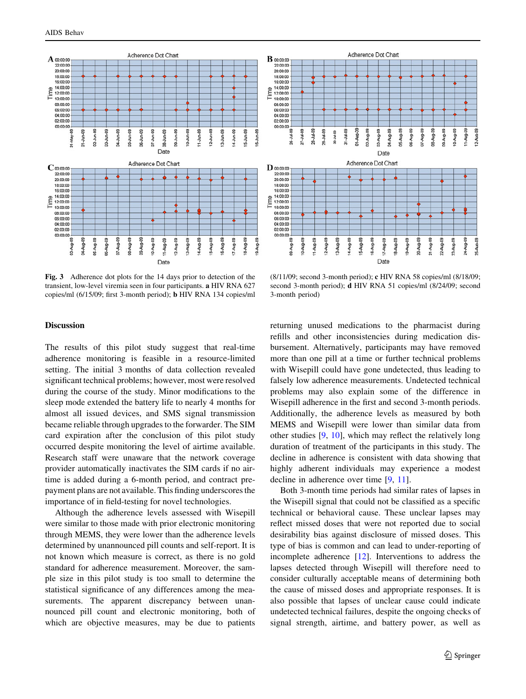<span id="page-4-0"></span>

Fig. 3 Adherence dot plots for the 14 days prior to detection of the transient, low-level viremia seen in four participants. a HIV RNA 627 copies/ml (6/15/09; first 3-month period); b HIV RNA 134 copies/ml



(8/11/09; second 3-month period); c HIV RNA 58 copies/ml (8/18/09; second 3-month period); d HIV RNA 51 copies/ml (8/24/09; second 3-month period)

#### **Discussion**

The results of this pilot study suggest that real-time adherence monitoring is feasible in a resource-limited setting. The initial 3 months of data collection revealed significant technical problems; however, most were resolved during the course of the study. Minor modifications to the sleep mode extended the battery life to nearly 4 months for almost all issued devices, and SMS signal transmission became reliable through upgrades to the forwarder. The SIM card expiration after the conclusion of this pilot study occurred despite monitoring the level of airtime available. Research staff were unaware that the network coverage provider automatically inactivates the SIM cards if no airtime is added during a 6-month period, and contract prepayment plans are not available. This finding underscores the importance of in field-testing for novel technologies.

Although the adherence levels assessed with Wisepill were similar to those made with prior electronic monitoring through MEMS, they were lower than the adherence levels determined by unannounced pill counts and self-report. It is not known which measure is correct, as there is no gold standard for adherence measurement. Moreover, the sample size in this pilot study is too small to determine the statistical significance of any differences among the measurements. The apparent discrepancy between unannounced pill count and electronic monitoring, both of which are objective measures, may be due to patients returning unused medications to the pharmacist during refills and other inconsistencies during medication disbursement. Alternatively, participants may have removed more than one pill at a time or further technical problems with Wisepill could have gone undetected, thus leading to falsely low adherence measurements. Undetected technical problems may also explain some of the difference in Wisepill adherence in the first and second 3-month periods. Additionally, the adherence levels as measured by both MEMS and Wisepill were lower than similar data from other studies [\[9](#page-6-0), [10\]](#page-6-0), which may reflect the relatively long duration of treatment of the participants in this study. The decline in adherence is consistent with data showing that highly adherent individuals may experience a modest decline in adherence over time [\[9](#page-6-0), [11](#page-6-0)].

Both 3-month time periods had similar rates of lapses in the Wisepill signal that could not be classified as a specific technical or behavioral cause. These unclear lapses may reflect missed doses that were not reported due to social desirability bias against disclosure of missed doses. This type of bias is common and can lead to under-reporting of incomplete adherence [[12\]](#page-6-0). Interventions to address the lapses detected through Wisepill will therefore need to consider culturally acceptable means of determining both the cause of missed doses and appropriate responses. It is also possible that lapses of unclear cause could indicate undetected technical failures, despite the ongoing checks of signal strength, airtime, and battery power, as well as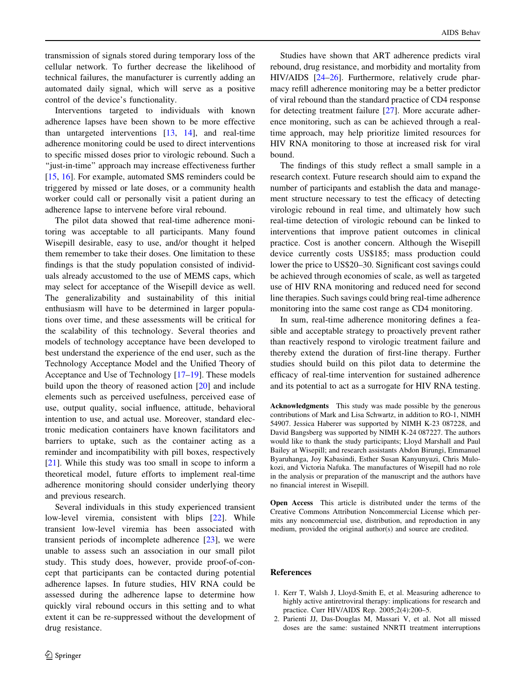<span id="page-5-0"></span>transmission of signals stored during temporary loss of the cellular network. To further decrease the likelihood of technical failures, the manufacturer is currently adding an automated daily signal, which will serve as a positive control of the device's functionality.

Interventions targeted to individuals with known adherence lapses have been shown to be more effective than untargeted interventions [\[13](#page-6-0), [14\]](#page-6-0), and real-time adherence monitoring could be used to direct interventions to specific missed doses prior to virologic rebound. Such a ''just-in-time'' approach may increase effectiveness further [\[15](#page-6-0), [16\]](#page-6-0). For example, automated SMS reminders could be triggered by missed or late doses, or a community health worker could call or personally visit a patient during an adherence lapse to intervene before viral rebound.

The pilot data showed that real-time adherence monitoring was acceptable to all participants. Many found Wisepill desirable, easy to use, and/or thought it helped them remember to take their doses. One limitation to these findings is that the study population consisted of individuals already accustomed to the use of MEMS caps, which may select for acceptance of the Wisepill device as well. The generalizability and sustainability of this initial enthusiasm will have to be determined in larger populations over time, and these assessments will be critical for the scalability of this technology. Several theories and models of technology acceptance have been developed to best understand the experience of the end user, such as the Technology Acceptance Model and the Unified Theory of Acceptance and Use of Technology [\[17–19](#page-6-0)]. These models build upon the theory of reasoned action [\[20\]](#page-6-0) and include elements such as perceived usefulness, perceived ease of use, output quality, social influence, attitude, behavioral intention to use, and actual use. Moreover, standard electronic medication containers have known facilitators and barriers to uptake, such as the container acting as a reminder and incompatibility with pill boxes, respectively [\[21](#page-6-0)]. While this study was too small in scope to inform a theoretical model, future efforts to implement real-time adherence monitoring should consider underlying theory and previous research.

Several individuals in this study experienced transient low-level viremia, consistent with blips [\[22](#page-6-0)]. While transient low-level viremia has been associated with transient periods of incomplete adherence [[23\]](#page-6-0), we were unable to assess such an association in our small pilot study. This study does, however, provide proof-of-concept that participants can be contacted during potential adherence lapses. In future studies, HIV RNA could be assessed during the adherence lapse to determine how quickly viral rebound occurs in this setting and to what extent it can be re-suppressed without the development of drug resistance.

Studies have shown that ART adherence predicts viral rebound, drug resistance, and morbidity and mortality from HIV/AIDS [\[24–26](#page-6-0)]. Furthermore, relatively crude pharmacy refill adherence monitoring may be a better predictor of viral rebound than the standard practice of CD4 response for detecting treatment failure [[27\]](#page-6-0). More accurate adherence monitoring, such as can be achieved through a realtime approach, may help prioritize limited resources for HIV RNA monitoring to those at increased risk for viral bound.

The findings of this study reflect a small sample in a research context. Future research should aim to expand the number of participants and establish the data and management structure necessary to test the efficacy of detecting virologic rebound in real time, and ultimately how such real-time detection of virologic rebound can be linked to interventions that improve patient outcomes in clinical practice. Cost is another concern. Although the Wisepill device currently costs US\$185; mass production could lower the price to US\$20–30. Significant cost savings could be achieved through economies of scale, as well as targeted use of HIV RNA monitoring and reduced need for second line therapies. Such savings could bring real-time adherence monitoring into the same cost range as CD4 monitoring.

In sum, real-time adherence monitoring defines a feasible and acceptable strategy to proactively prevent rather than reactively respond to virologic treatment failure and thereby extend the duration of first-line therapy. Further studies should build on this pilot data to determine the efficacy of real-time intervention for sustained adherence and its potential to act as a surrogate for HIV RNA testing.

Acknowledgments This study was made possible by the generous contributions of Mark and Lisa Schwartz, in addition to RO-1, NIMH 54907. Jessica Haberer was supported by NIMH K-23 087228, and David Bangsberg was supported by NIMH K-24 087227. The authors would like to thank the study participants; Lloyd Marshall and Paul Bailey at Wisepill; and research assistants Abdon Birungi, Emmanuel Byaruhanga, Joy Kabasindi, Esther Susan Kanyunyuzi, Chris Mulokozi, and Victoria Nafuka. The manufactures of Wisepill had no role in the analysis or preparation of the manuscript and the authors have no financial interest in Wisepill.

Open Access This article is distributed under the terms of the Creative Commons Attribution Noncommercial License which permits any noncommercial use, distribution, and reproduction in any medium, provided the original author(s) and source are credited.

### References

- 1. Kerr T, Walsh J, Lloyd-Smith E, et al. Measuring adherence to highly active antiretroviral therapy: implications for research and practice. Curr HIV/AIDS Rep. 2005;2(4):200–5.
- 2. Parienti JJ, Das-Douglas M, Massari V, et al. Not all missed doses are the same: sustained NNRTI treatment interruptions